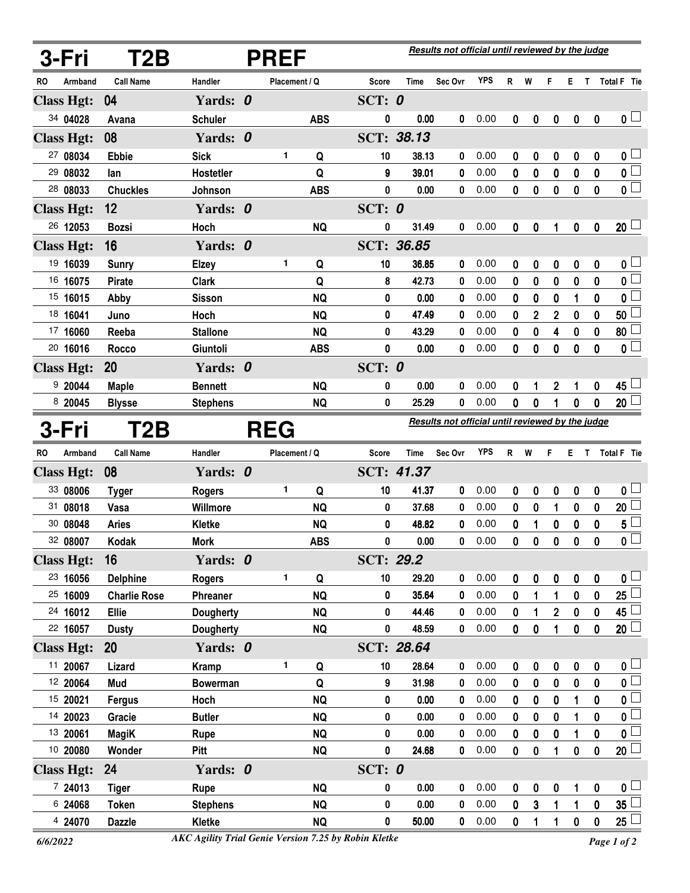|    | 3-Fri             | T2B                 | <b>PREF</b>      |  |               |            |                  | Results not official until reviewed by the judge |                                                  |            |             |                |                         |                  |                  |                         |  |
|----|-------------------|---------------------|------------------|--|---------------|------------|------------------|--------------------------------------------------|--------------------------------------------------|------------|-------------|----------------|-------------------------|------------------|------------------|-------------------------|--|
| RO | Armband           | <b>Call Name</b>    | Handler          |  | Placement / Q |            | <b>Score</b>     | <b>Time</b>                                      | Sec Ovr                                          | <b>YPS</b> | R           | W              | F                       | Е                | $\mathsf{T}$     | Total F Tie             |  |
|    | <b>Class Hgt:</b> | 04                  | Yards: 0         |  |               |            | SCT: $0$         |                                                  |                                                  |            |             |                |                         |                  |                  |                         |  |
|    | 34 04028          | Avana               | <b>Schuler</b>   |  |               | <b>ABS</b> | 0                | 0.00                                             | 0                                                | 0.00       | $\mathbf 0$ | 0              | 0                       | $\boldsymbol{0}$ | $\boldsymbol{0}$ | $\mathbf{0}$ $\Box$     |  |
|    | <b>Class Hgt:</b> | 08                  | Yards: 0         |  |               |            |                  | SCT: 38.13                                       |                                                  |            |             |                |                         |                  |                  |                         |  |
|    | 27 08034          | <b>Ebbie</b>        | <b>Sick</b>      |  | 1             | Q          | 10               | 38.13                                            | 0                                                | 0.00       | 0           | 0              | 0                       | 0                | 0                | 0 <sub>1</sub>          |  |
|    | 29 08032          | lan                 | Hostetler        |  |               | Q          | 9                | 39.01                                            | 0                                                | 0.00       | 0           | 0              | 0                       | 0                | $\boldsymbol{0}$ | $\overline{0}$          |  |
|    | 28 08033          | <b>Chuckles</b>     | Johnson          |  |               | <b>ABS</b> | 0                | 0.00                                             | 0                                                | 0.00       | 0           | $\bf{0}$       | 0                       | $\bf{0}$         | $\bf{0}$         | $\overline{\mathbf{0}}$ |  |
|    | <b>Class Hgt:</b> | 12                  | Yards: 0         |  |               |            | SCT: $0$         |                                                  |                                                  |            |             |                |                         |                  |                  |                         |  |
|    | 26 12053          | <b>Bozsi</b>        | Hoch             |  |               | <b>NQ</b>  | 0                | 31.49                                            | 0                                                | 0.00       | 0           | 0              |                         | 0                | $\pmb{0}$        | 20 <sub>1</sub>         |  |
|    | <b>Class Hgt:</b> | 16                  | Yards: 0         |  |               |            |                  | <b>SCT: 36.85</b>                                |                                                  |            |             |                |                         |                  |                  |                         |  |
|    | 19 16039          | <b>Sunry</b>        | <b>Elzey</b>     |  | 1             | Q          | 10               | 36.85                                            | 0                                                | 0.00       | 0           | 0              | 0                       | 0                | 0                | 0 <sub>1</sub>          |  |
|    | 16 16075          | <b>Pirate</b>       | <b>Clark</b>     |  |               | Q          | 8                | 42.73                                            | 0                                                | 0.00       | 0           | 0              | 0                       | 0                | 0                | $\overline{0}$          |  |
|    | 15 16015          | Abby                | <b>Sisson</b>    |  |               | <b>NQ</b>  | 0                | 0.00                                             | 0                                                | 0.00       | 0           | 0              | 0                       | 1                | 0                | 0 L                     |  |
|    | 18 16041          | Juno                | Hoch             |  |               | <b>NQ</b>  | 0                | 47.49                                            | 0                                                | 0.00       | 0           | $\overline{2}$ | 2                       | 0                | 0                | 50                      |  |
|    | 17 16060          | Reeba               | <b>Stallone</b>  |  |               | <b>NQ</b>  | 0                | 43.29                                            | 0                                                | 0.00       | 0           | 0              | 4                       | 0                | 0                | 80 <sup>1</sup>         |  |
|    | 20 16016          | Rocco               | Giuntoli         |  |               | <b>ABS</b> | 0                | 0.00                                             | 0                                                | 0.00       | 0           | 0              | 0                       | 0                | $\mathbf{0}$     | $\overline{\mathbf{0}}$ |  |
|    | <b>Class Hgt:</b> | <b>20</b>           | Yards: 0         |  |               |            | SCT: $0$         |                                                  |                                                  |            |             |                |                         |                  |                  |                         |  |
|    | 920044            | <b>Maple</b>        | <b>Bennett</b>   |  |               | <b>NQ</b>  | 0                | 0.00                                             | 0                                                | 0.00       | 0           | 1              | 2                       | 1                | 0                | 45                      |  |
|    | 8 20045           | <b>Blysse</b>       | <b>Stephens</b>  |  |               | <b>NQ</b>  | 0                | 25.29                                            | 0                                                | 0.00       | 0           | 0              |                         | 0                | 0                | 20 <sup>1</sup>         |  |
|    | 3-Fri             | T <sub>2</sub> B    |                  |  | <b>REG</b>    |            |                  |                                                  | Results not official until reviewed by the judge |            |             |                |                         |                  |                  |                         |  |
| RO | Armband           | <b>Call Name</b>    | Handler          |  | Placement / Q |            | Score            | <b>Time</b>                                      | Sec Ovr                                          | <b>YPS</b> | R           | W              | F                       | Е.               | T.               | <b>Total F</b> Tie      |  |
|    | <b>Class Hgt:</b> | 08                  | Yards: 0         |  |               |            |                  | SCT: 41.37                                       |                                                  |            |             |                |                         |                  |                  |                         |  |
|    | 33 08006          | <b>Tyger</b>        | <b>Rogers</b>    |  | 1             | Q          | 10               | 41.37                                            | 0                                                | 0.00       | 0           | 0              | 0                       | 0                | 0                | 0 L                     |  |
|    | 31 08018          | Vasa                | Willmore         |  |               | <b>NQ</b>  | 0                | 37.68                                            | 0                                                | 0.00       | 0           | 0              | 1                       | 0                | 0                | 20                      |  |
|    | 30 08048          | <b>Aries</b>        | <b>Kletke</b>    |  |               | <b>NQ</b>  | 0                | 48.82                                            | 0                                                | 0.00       | 0           | 1              | 0                       | 0                | 0                | 5                       |  |
|    | 32 08007          | Kodak               | <b>Mork</b>      |  |               | <b>ABS</b> | 0                | 0.00                                             | 0                                                | 0.00       | 0           | 0              | 0                       | $\boldsymbol{0}$ | 0                | 0                       |  |
|    | <b>Class Hgt:</b> | 16                  | Yards: 0         |  |               |            | <b>SCT: 29.2</b> |                                                  |                                                  |            |             |                |                         |                  |                  |                         |  |
|    | 23 16056          | <b>Delphine</b>     | <b>Rogers</b>    |  | 1             | Q          | 10               | 29.20                                            | 0                                                | 0.00       | 0           | 0              | 0                       | $\boldsymbol{0}$ | 0                | $\mathfrak{o} \sqcup$   |  |
|    | 25 16009          | <b>Charlie Rose</b> | Phreaner         |  |               | <b>NQ</b>  | 0                | 35.64                                            | 0                                                | 0.00       | 0           | 1              | 1                       | $\mathbf 0$      | $\mathbf 0$      | 25 <sup>1</sup>         |  |
|    | 24 16012          | Ellie               | <b>Dougherty</b> |  |               | <b>NQ</b>  | 0                | 44.46                                            | 0                                                | 0.00       | 0           | 1              | $\overline{\mathbf{2}}$ | 0                | $\pmb{0}$        | 45 $\lfloor$            |  |
|    | 22 16057          | <b>Dusty</b>        | <b>Dougherty</b> |  |               | <b>NQ</b>  | 0                | 48.59                                            | 0                                                | 0.00       | $\mathbf 0$ | 0              | 1                       | $\bf{0}$         | $\pmb{0}$        | $20\perp$               |  |
|    | <b>Class Hgt:</b> | <b>20</b>           | Yards: 0         |  |               |            |                  | SCT: 28.64                                       |                                                  |            |             |                |                         |                  |                  |                         |  |
|    | 11 20067          | Lizard              | <b>Kramp</b>     |  | 1             | Q          | 10               | 28.64                                            | 0                                                | 0.00       | 0           | 0              | 0                       | $\pmb{0}$        | $\pmb{0}$        | 0 <sub>1</sub>          |  |
|    | 12 20064          | Mud                 | <b>Bowerman</b>  |  |               | Q          | 9                | 31.98                                            | 0                                                | 0.00       | $\mathbf 0$ | $\pmb{0}$      | $\mathbf 0$             | $\bf{0}$         | $\mathbf 0$      | $\overline{\mathbf{0}}$ |  |
|    | 15 20021          | <b>Fergus</b>       | Hoch             |  |               | <b>NQ</b>  | 0                | 0.00                                             | 0                                                | 0.00       | 0           | 0              | 0                       | 1                | $\pmb{0}$        | $\overline{0}$          |  |
|    | 14 20023          | Gracie              | <b>Butler</b>    |  |               | <b>NQ</b>  | 0                | 0.00                                             | 0                                                | 0.00       | $\mathbf 0$ | $\bf{0}$       | 0                       | 1                | $\pmb{0}$        | $\mathbf 0$             |  |
|    | 13 20061          | <b>MagiK</b>        | <b>Rupe</b>      |  |               | <b>NQ</b>  | 0                | 0.00                                             | 0                                                | 0.00       | 0           | 0              | 0                       | 1                | $\boldsymbol{0}$ | $\overline{0}$          |  |
|    | 10 20080          | Wonder              | Pitt             |  |               | <b>NQ</b>  | 0                | 24.68                                            | 0                                                | 0.00       | $\mathbf 0$ | $\bf{0}$       | 1                       | $\pmb{0}$        | $\pmb{0}$        | $20$ $\Box$             |  |
|    | <b>Class Hgt:</b> | 24                  | Yards: 0         |  |               |            | SCT: 0           |                                                  |                                                  |            |             |                |                         |                  |                  |                         |  |
|    | 7 24013           | <b>Tiger</b>        | Rupe             |  |               | <b>NQ</b>  | 0                | 0.00                                             | 0                                                | 0.00       | 0           | 0              | 0                       | 1                | $\pmb{0}$        | $\mathsf{0} \sqcup$     |  |
|    | 6 24068           | <b>Token</b>        | <b>Stephens</b>  |  |               | <b>NQ</b>  | 0                | 0.00                                             | 0                                                | 0.00       | $\mathbf 0$ | $\mathbf{3}$   | 1                       | 1                | $\pmb{0}$        | 35 <sup>1</sup>         |  |
|    | 4 24070           | <b>Dazzle</b>       | Kletke           |  |               | <b>NQ</b>  | 0                | 50.00                                            | 0                                                | 0.00       | $\mathbf 0$ | 1              | 1                       | 0                | $\pmb{0}$        | 25 <sup>1</sup>         |  |